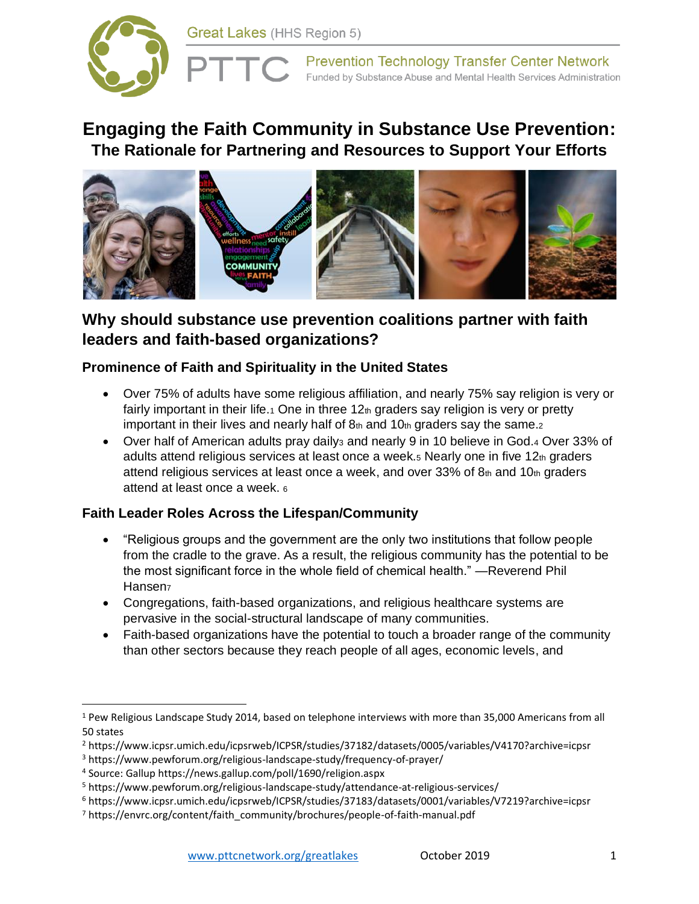

# **Engaging the Faith Community in Substance Use Prevention: The Rationale for Partnering and Resources to Support Your Efforts**



# **Why should substance use prevention coalitions partner with faith leaders and faith-based organizations?**

## **Prominence of Faith and Spirituality in the United States**

- Over 75% of adults have some religious affiliation, and nearly 75% say religion is very or fairly important in their life.<sub>1</sub> One in three  $12<sub>th</sub>$  graders say religion is very or pretty important in their lives and nearly half of  $8<sub>th</sub>$  and  $10<sub>th</sub>$  graders say the same.
- Over half of American adults pray daily<sub>3</sub> and nearly 9 in 10 believe in God.4 Over 33% of adults attend religious services at least once a week. $5$  Nearly one in five  $12<sub>th</sub>$  graders attend religious services at least once a week, and over 33% of  $8<sub>th</sub>$  and 10 $<sub>th</sub>$  graders</sub> attend at least once a week. <sup>6</sup>

## **Faith Leader Roles Across the Lifespan/Community**

- "Religious groups and the government are the only two institutions that follow people from the cradle to the grave. As a result, the religious community has the potential to be the most significant force in the whole field of chemical health." —Reverend Phil Hansen<sub>7</sub>
- Congregations, faith-based organizations, and religious healthcare systems are pervasive in the social-structural landscape of many communities.
- Faith-based organizations have the potential to touch a broader range of the community than other sectors because they reach people of all ages, economic levels, and

<sup>1</sup> Pew Religious Landscape Study 2014, based on telephone interviews with more than 35,000 Americans from all 50 states

<sup>2</sup> https://www.icpsr.umich.edu/icpsrweb/ICPSR/studies/37182/datasets/0005/variables/V4170?archive=icpsr

<sup>3</sup> https://www.pewforum.org/religious-landscape-study/frequency-of-prayer/

<sup>4</sup> Source: Gallup https://news.gallup.com/poll/1690/religion.aspx

<sup>5</sup> https://www.pewforum.org/religious-landscape-study/attendance-at-religious-services/

<sup>6</sup> https://www.icpsr.umich.edu/icpsrweb/ICPSR/studies/37183/datasets/0001/variables/V7219?archive=icpsr

<sup>7</sup> https://envrc.org/content/faith\_community/brochures/people-of-faith-manual.pdf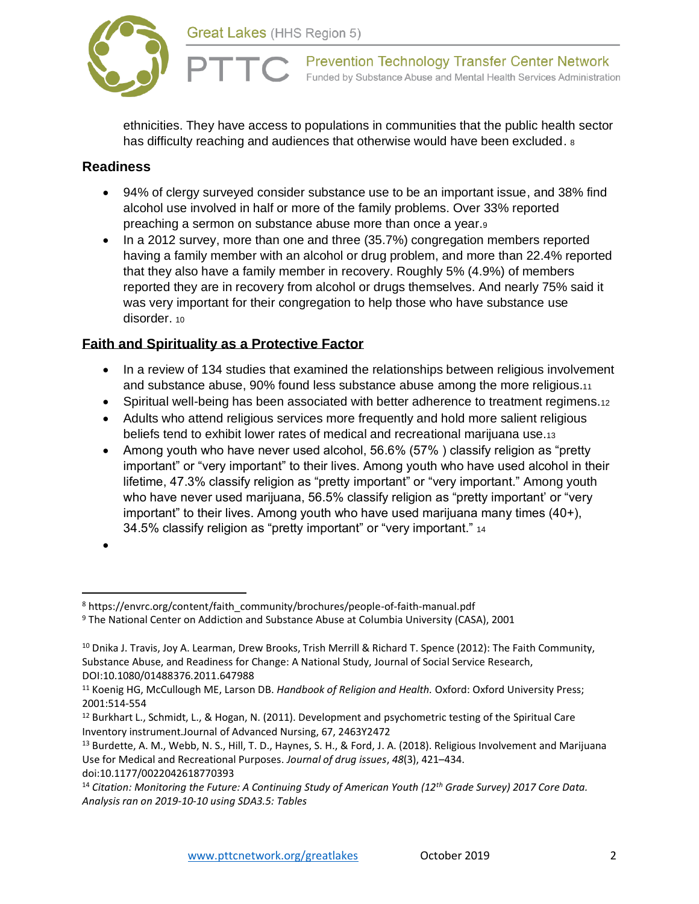



ethnicities. They have access to populations in communities that the public health sector has difficulty reaching and audiences that otherwise would have been excluded.  $\delta$ 

### **Readiness**

- 94% of clergy surveyed consider substance use to be an important issue, and 38% find alcohol use involved in half or more of the family problems. Over 33% reported preaching a sermon on substance abuse more than once a year.<sup>9</sup>
- In a 2012 survey, more than one and three (35.7%) congregation members reported having a family member with an alcohol or drug problem, and more than 22.4% reported that they also have a family member in recovery. Roughly 5% (4.9%) of members reported they are in recovery from alcohol or drugs themselves. And nearly 75% said it was very important for their congregation to help those who have substance use disorder. 10

## **Faith and Spirituality as a Protective Factor**

- In a review of 134 studies that examined the relationships between religious involvement and substance abuse, 90% found less substance abuse among the more religious.<sup>11</sup>
- Spiritual well-being has been associated with better adherence to treatment regimens.12
- Adults who attend religious services more frequently and hold more salient religious beliefs tend to exhibit lower rates of medical and recreational marijuana use.<sup>13</sup>
- Among youth who have never used alcohol, 56.6% (57% ) classify religion as "pretty important" or "very important" to their lives. Among youth who have used alcohol in their lifetime, 47.3% classify religion as "pretty important" or "very important." Among youth who have never used marijuana, 56.5% classify religion as "pretty important' or "very important" to their lives. Among youth who have used marijuana many times (40+), 34.5% classify religion as "pretty important" or "very important." <sup>14</sup>

<sup>•</sup>

<sup>&</sup>lt;sup>8</sup> https://envrc.org/content/faith\_community/brochures/people-of-faith-manual.pdf

<sup>9</sup> The National Center on Addiction and Substance Abuse at Columbia University (CASA), 2001

<sup>10</sup> Dnika J. Travis, Joy A. Learman, Drew Brooks, Trish Merrill & Richard T. Spence (2012): The Faith Community, Substance Abuse, and Readiness for Change: A National Study, Journal of Social Service Research, DOI:10.1080/01488376.2011.647988

<sup>11</sup> Koenig HG, McCullough ME, Larson DB. *Handbook of Religion and Health.* Oxford: Oxford University Press; 2001:514-554

<sup>12</sup> Burkhart L., Schmidt, L., & Hogan, N. (2011). Development and psychometric testing of the Spiritual Care Inventory instrument.Journal of Advanced Nursing, 67, 2463Y2472

<sup>&</sup>lt;sup>13</sup> Burdette, A. M., Webb, N. S., Hill, T. D., Haynes, S. H., & Ford, J. A. (2018). Religious Involvement and Marijuana Use for Medical and Recreational Purposes. *Journal of drug issues*, *48*(3), 421–434.

doi:10.1177/0022042618770393

<sup>14</sup> *Citation: Monitoring the Future: A Continuing Study of American Youth (12th Grade Survey) 2017 Core Data. Analysis ran on 2019-10-10 using SDA3.5: Tables*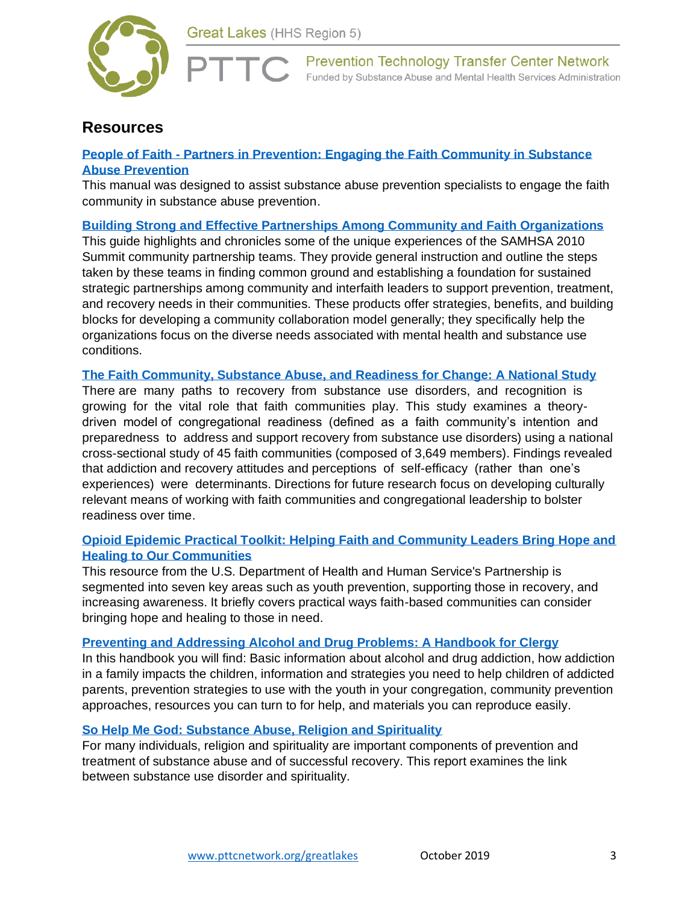

## **Resources**

### **People of Faith - [Partners in Prevention: Engaging the Faith Community in Substance](https://envrc.org/content/faith_community/brochures/people-of-faith-manual.pdf)  [Abuse Prevention](https://envrc.org/content/faith_community/brochures/people-of-faith-manual.pdf)**

This manual was designed to assist substance abuse prevention specialists to engage the faith community in substance abuse prevention.

#### **Building Strong [and Effective Partnerships Among Community and Faith Organizations](https://store.samhsa.gov/product/one-voice-one-community-building-strong-effective-partnerships-among-community-faith)**

This guide highlights and chronicles some of the unique experiences of the SAMHSA 2010 Summit community partnership teams. They provide general instruction and outline the steps taken by these teams in finding common ground and establishing a foundation for sustained strategic partnerships among community and interfaith leaders to support prevention, treatment, and recovery needs in their communities. These products offer strategies, benefits, and building blocks for developing a community collaboration model generally; they specifically help the organizations focus on the diverse needs associated with mental health and substance use conditions.

#### **[The Faith Community, Substance Abuse, and Readiness for Change: A National Study](http://faith-partners.org/wp-content/uploads/2013/10/The-Faith-Community-Substance-Abuse-and-Readiness-for-Change.pdf)**

There are many paths to recovery from substance use disorders, and recognition is growing for the vital role that faith communities play. This study examines a theorydriven model of congregational readiness (defined as a faith community's intention and preparedness to address and support recovery from substance use disorders) using a national cross-sectional study of 45 faith communities (composed of 3,649 members). Findings revealed that addiction and recovery attitudes and perceptions of self-efficacy (rather than one's experiences) were determinants. Directions for future research focus on developing culturally relevant means of working with faith communities and congregational leadership to bolster readiness over time.

#### **[Opioid Epidemic Practical Toolkit: Helping Faith and Community Leaders Bring Hope and](https://www.hhs.gov/about/agencies/iea/partnerships/opioid-toolkit/index.html)  [Healing to Our Communities](https://www.hhs.gov/about/agencies/iea/partnerships/opioid-toolkit/index.html)**

This resource from the U.S. Department of Health and Human Service's Partnership is segmented into seven key areas such as youth prevention, supporting those in recovery, and increasing awareness. It briefly covers practical ways faith-based communities can consider bringing hope and healing to those in need.

#### **[Preventing and Addressing Alcohol and Drug Problems: A Handbook for Clergy](http://www.nacoa.net/pdfs/Clergy%20COMPLETE%20Handbook_0909.pdf)**

In this handbook you will find: Basic information about alcohol and drug addiction, how addiction in a family impacts the children, information and strategies you need to help children of addicted parents, prevention strategies to use with the youth in your congregation, community prevention approaches, resources you can turn to for help, and materials you can reproduce easily.

#### **[So Help Me God: Substance Abuse, Religion and Spirituality](https://www.centeronaddiction.org/addiction-research/reports/so-help-me-god-substance-abuse-religion-and-spirituality)**

For many individuals, religion and spirituality are important components of prevention and treatment of substance abuse and of successful recovery. This report examines the link between substance use disorder and spirituality.